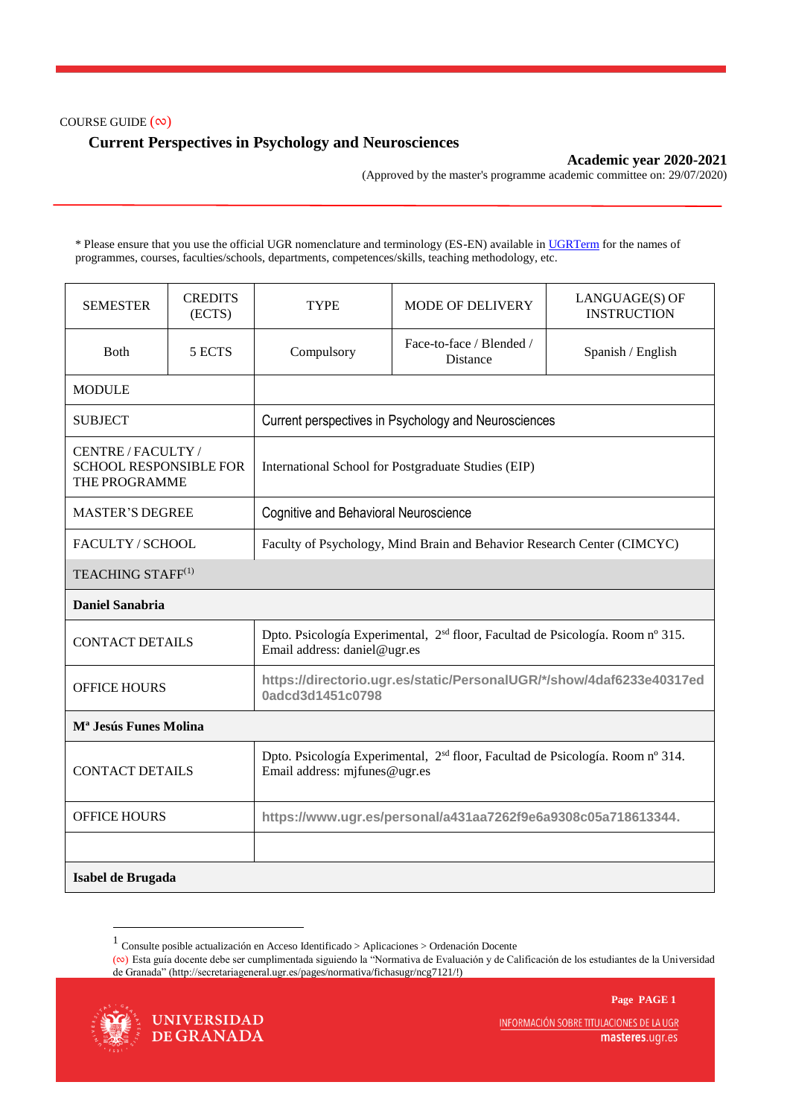#### COURSE GUIDE (∾)

# **Current Perspectives in Psychology and Neurosciences**

### **Academic year 2020-2021**

(Approved by the master's programme academic committee on: 29/07/2020)

\* Please ensure that you use the official UGR nomenclature and terminology (ES-EN) available i[n UGRTerm](https://ugrterm.ugr.es/) for the names of programmes, courses, faculties/schools, departments, competences/skills, teaching methodology, etc.

| <b>SEMESTER</b>                                                   | <b>CREDITS</b><br>(ECTS)      | <b>TYPE</b>                                                                                                                 | <b>MODE OF DELIVERY</b>              | LANGUAGE(S) OF<br><b>INSTRUCTION</b> |  |  |  |
|-------------------------------------------------------------------|-------------------------------|-----------------------------------------------------------------------------------------------------------------------------|--------------------------------------|--------------------------------------|--|--|--|
| <b>B</b> oth                                                      | 5 ECTS                        | Compulsory                                                                                                                  | Face-to-face / Blended /<br>Distance | Spanish / English                    |  |  |  |
| <b>MODULE</b>                                                     |                               |                                                                                                                             |                                      |                                      |  |  |  |
| <b>SUBJECT</b>                                                    |                               | Current perspectives in Psychology and Neurosciences                                                                        |                                      |                                      |  |  |  |
| CENTRE/FACULTY/<br><b>SCHOOL RESPONSIBLE FOR</b><br>THE PROGRAMME |                               | International School for Postgraduate Studies (EIP)                                                                         |                                      |                                      |  |  |  |
| <b>MASTER'S DEGREE</b>                                            |                               | <b>Cognitive and Behavioral Neuroscience</b>                                                                                |                                      |                                      |  |  |  |
| <b>FACULTY/SCHOOL</b>                                             |                               | Faculty of Psychology, Mind Brain and Behavior Research Center (CIMCYC)                                                     |                                      |                                      |  |  |  |
|                                                                   | TEACHING STAFF <sup>(1)</sup> |                                                                                                                             |                                      |                                      |  |  |  |
| <b>Daniel Sanabria</b>                                            |                               |                                                                                                                             |                                      |                                      |  |  |  |
| <b>CONTACT DETAILS</b>                                            |                               | Dpto. Psicología Experimental, 2 <sup>sd</sup> floor, Facultad de Psicología. Room nº 315.<br>Email address: daniel@ugr.es  |                                      |                                      |  |  |  |
| <b>OFFICE HOURS</b>                                               |                               | https://directorio.ugr.es/static/PersonalUGR/*/show/4daf6233e40317ed<br>0adcd3d1451c0798                                    |                                      |                                      |  |  |  |
| M <sup>a</sup> Jesús Funes Molina                                 |                               |                                                                                                                             |                                      |                                      |  |  |  |
| <b>CONTACT DETAILS</b>                                            |                               | Dpto. Psicología Experimental, 2 <sup>sd</sup> floor, Facultad de Psicología. Room nº 314.<br>Email address: mjfunes@ugr.es |                                      |                                      |  |  |  |
| <b>OFFICE HOURS</b>                                               |                               | https://www.ugr.es/personal/a431aa7262f9e6a9308c05a718613344.                                                               |                                      |                                      |  |  |  |
|                                                                   |                               |                                                                                                                             |                                      |                                      |  |  |  |
| Isabel de Brugada                                                 |                               |                                                                                                                             |                                      |                                      |  |  |  |

<sup>1</sup> Consulte posible actualización en Acceso Identificado > Aplicaciones > Ordenación Docente

**Page PAGE 1**



1

INFORMACIÓN SOBRE TITULACIONES DE LA UGR masteres.ugr.es

<sup>(</sup>∾) Esta guía docente debe ser cumplimentada siguiendo la "Normativa de Evaluación y de Calificación de los estudiantes de la Universidad de Granada" (http://secretariageneral.ugr.es/pages/normativa/fichasugr/ncg7121/!)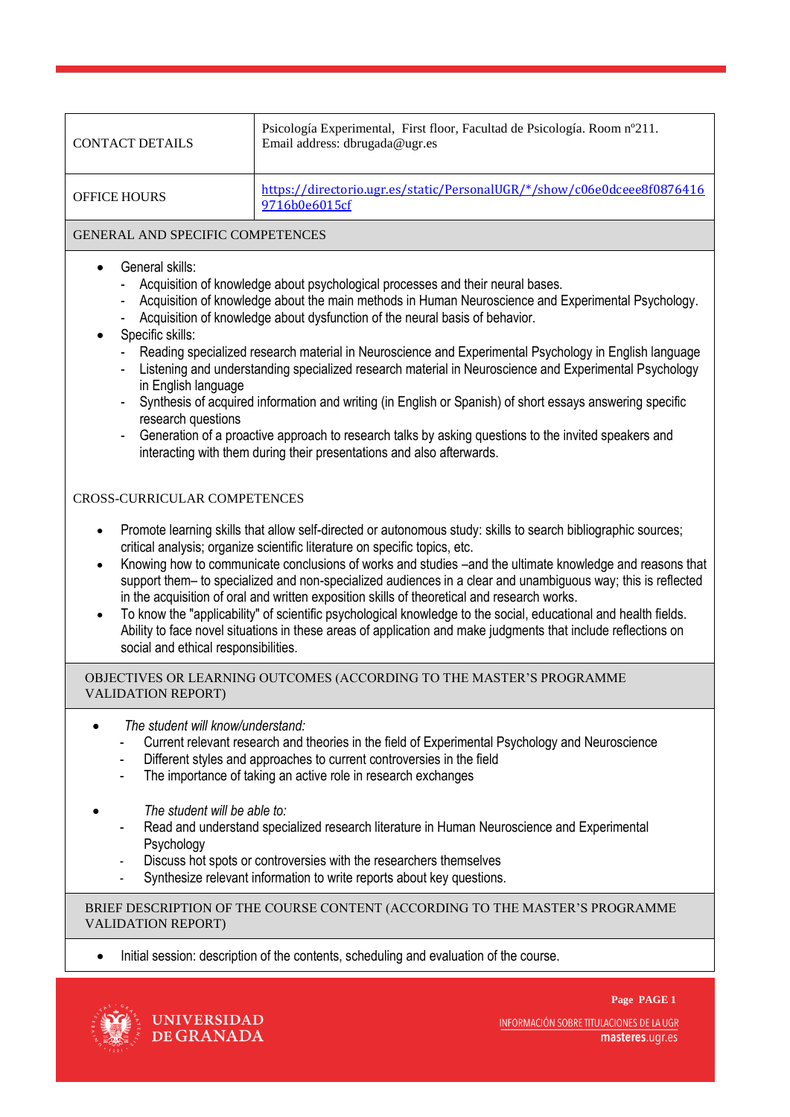| <b>CONTACT DETAILS</b> | Psicología Experimental, First floor, Facultad de Psicología. Room nº211.<br>Email address: dbrugada@ugr.es |
|------------------------|-------------------------------------------------------------------------------------------------------------|
| <b>OFFICE HOURS</b>    | https://directorio.ugr.es/static/PersonalUGR/*/show/c06e0dceee8f0876416<br>9716b0e6015cf                    |

# GENERAL AND SPECIFIC COMPETENCES

- General skills:
	- Acquisition of knowledge about psychological processes and their neural bases.
	- Acquisition of knowledge about the main methods in Human Neuroscience and Experimental Psychology.
	- Acquisition of knowledge about dysfunction of the neural basis of behavior.

# Specific skills:

- Reading specialized research material in Neuroscience and Experimental Psychology in English language
- Listening and understanding specialized research material in Neuroscience and Experimental Psychology in English language
- Synthesis of acquired information and writing (in English or Spanish) of short essays answering specific research questions
- Generation of a proactive approach to research talks by asking questions to the invited speakers and interacting with them during their presentations and also afterwards.

### CROSS-CURRICULAR COMPETENCES

- Promote learning skills that allow self-directed or autonomous study: skills to search bibliographic sources; critical analysis; organize scientific literature on specific topics, etc.
- Knowing how to communicate conclusions of works and studies –and the ultimate knowledge and reasons that support them– to specialized and non-specialized audiences in a clear and unambiguous way; this is reflected in the acquisition of oral and written exposition skills of theoretical and research works.
- To know the "applicability" of scientific psychological knowledge to the social, educational and health fields. Ability to face novel situations in these areas of application and make judgments that include reflections on social and ethical responsibilities.

### OBJECTIVES OR LEARNING OUTCOMES (ACCORDING TO THE MASTER'S PROGRAMME VALIDATION REPORT)

- *The student will know/understand:*
	- Current relevant research and theories in the field of Experimental Psychology and Neuroscience
	- Different styles and approaches to current controversies in the field
	- The importance of taking an active role in research exchanges
- *The student will be able to:*
	- Read and understand specialized research literature in Human Neuroscience and Experimental Psychology
	- Discuss hot spots or controversies with the researchers themselves
	- Synthesize relevant information to write reports about key questions.

#### BRIEF DESCRIPTION OF THE COURSE CONTENT (ACCORDING TO THE MASTER'S PROGRAMME VALIDATION REPORT)

• Initial session: description of the contents, scheduling and evaluation of the course.





INFORMACIÓN SOBRE TITULACIONES DE LA UGR masteres.ugr.es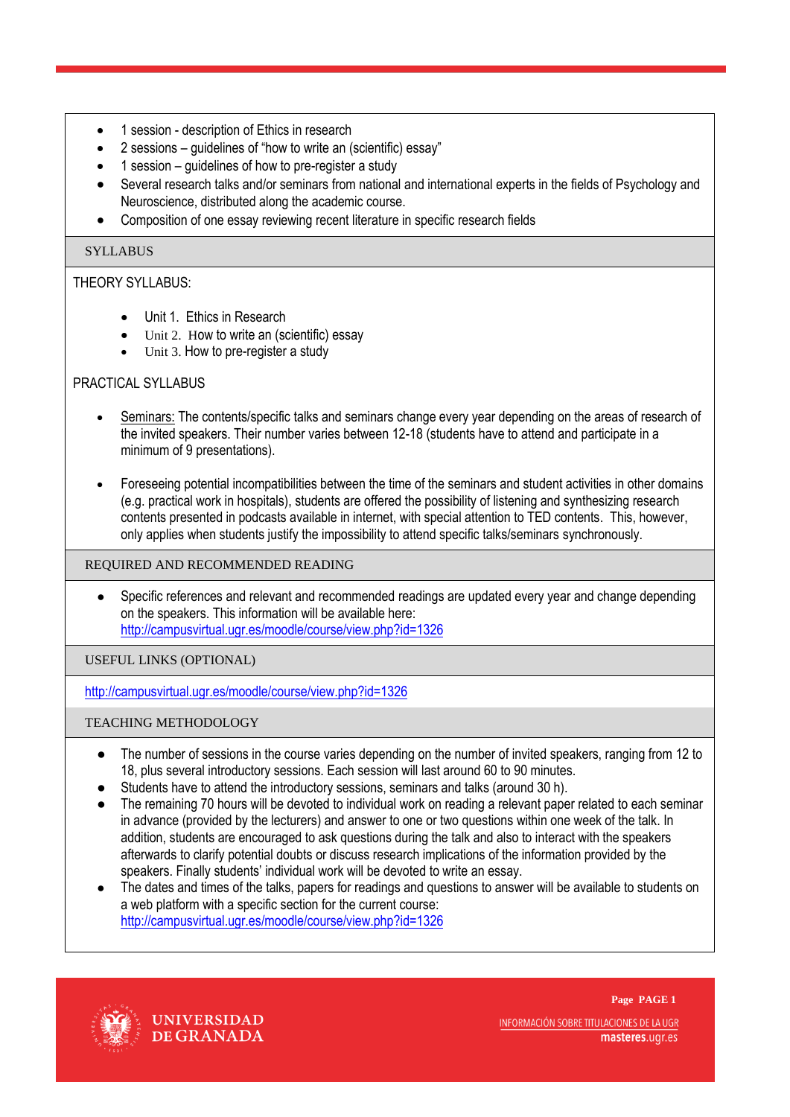- 1 session description of Ethics in research
- 2 sessions guidelines of "how to write an (scientific) essay"
- 1 session guidelines of how to pre-register a study
- Several research talks and/or seminars from national and international experts in the fields of Psychology and Neuroscience, distributed along the academic course.
- Composition of one essay reviewing recent literature in specific research fields

# **SYLLABUS**

# THEORY SYLLABUS:

- Unit 1. Ethics in Research
- Unit 2. How to write an (scientific) essay
- Unit 3. How to pre-register a study

# PRACTICAL SYLLABUS

- Seminars: The contents/specific talks and seminars change every year depending on the areas of research of the invited speakers. Their number varies between 12-18 (students have to attend and participate in a minimum of 9 presentations).
- Foreseeing potential incompatibilities between the time of the seminars and student activities in other domains (e.g. practical work in hospitals), students are offered the possibility of listening and synthesizing research contents presented in podcasts available in internet, with special attention to TED contents. This, however, only applies when students justify the impossibility to attend specific talks/seminars synchronously.

#### REQUIRED AND RECOMMENDED READING

● Specific references and relevant and recommended readings are updated every year and change depending on the speakers. This information will be available here: <http://campusvirtual.ugr.es/moodle/course/view.php?id=1326>

USEFUL LINKS (OPTIONAL)

<http://campusvirtual.ugr.es/moodle/course/view.php?id=1326>

### TEACHING METHODOLOGY

- The number of sessions in the course varies depending on the number of invited speakers, ranging from 12 to 18, plus several introductory sessions. Each session will last around 60 to 90 minutes.
- Students have to attend the introductory sessions, seminars and talks (around 30 h).
- The remaining 70 hours will be devoted to individual work on reading a relevant paper related to each seminar in advance (provided by the lecturers) and answer to one or two questions within one week of the talk. In addition, students are encouraged to ask questions during the talk and also to interact with the speakers afterwards to clarify potential doubts or discuss research implications of the information provided by the speakers. Finally students' individual work will be devoted to write an essay.
- The dates and times of the talks, papers for readings and questions to answer will be available to students on a web platform with a specific section for the current course: <http://campusvirtual.ugr.es/moodle/course/view.php?id=1326>



**UNIVERSIDAD** DE GRANADA

**Page PAGE 1** INFORMACIÓN SOBRE TITULACIONES DE LA UGR masteres.ugr.es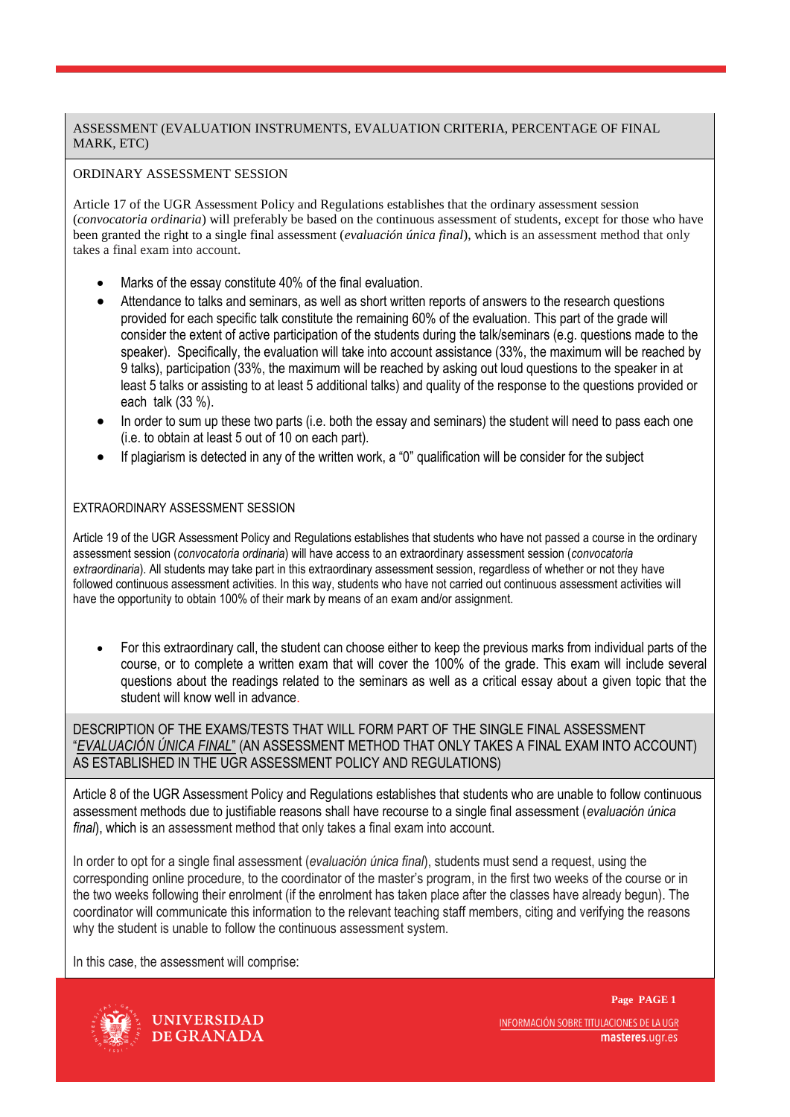# ASSESSMENT (EVALUATION INSTRUMENTS, EVALUATION CRITERIA, PERCENTAGE OF FINAL MARK, ETC)

# ORDINARY ASSESSMENT SESSION

Article 17 of the UGR Assessment Policy and Regulations establishes that the ordinary assessment session (*convocatoria ordinaria*) will preferably be based on the continuous assessment of students, except for those who have been granted the right to a single final assessment (*evaluación única final*), which is an assessment method that only takes a final exam into account.

- Marks of the essay constitute 40% of the final evaluation.
- Attendance to talks and seminars, as well as short written reports of answers to the research questions provided for each specific talk constitute the remaining 60% of the evaluation. This part of the grade will consider the extent of active participation of the students during the talk/seminars (e.g. questions made to the speaker). Specifically, the evaluation will take into account assistance (33%, the maximum will be reached by 9 talks), participation (33%, the maximum will be reached by asking out loud questions to the speaker in at least 5 talks or assisting to at least 5 additional talks) and quality of the response to the questions provided or each talk (33 %).
- In order to sum up these two parts (i.e. both the essay and seminars) the student will need to pass each one (i.e. to obtain at least 5 out of 10 on each part).
- If plagiarism is detected in any of the written work, a "0" qualification will be consider for the subject

# EXTRAORDINARY ASSESSMENT SESSION

Article 19 of the UGR Assessment Policy and Regulations establishes that students who have not passed a course in the ordinary assessment session (*convocatoria ordinaria*) will have access to an extraordinary assessment session (*convocatoria extraordinaria*). All students may take part in this extraordinary assessment session, regardless of whether or not they have followed continuous assessment activities. In this way, students who have not carried out continuous assessment activities will have the opportunity to obtain 100% of their mark by means of an exam and/or assignment.

 For this extraordinary call, the student can choose either to keep the previous marks from individual parts of the course, or to complete a written exam that will cover the 100% of the grade. This exam will include several questions about the readings related to the seminars as well as a critical essay about a given topic that the student will know well in advance.

DESCRIPTION OF THE EXAMS/TESTS THAT WILL FORM PART OF THE SINGLE FINAL ASSESSMENT "*EVALUACIÓN ÚNICA FINAL*" (AN ASSESSMENT METHOD THAT ONLY TAKES A FINAL EXAM INTO ACCOUNT) AS ESTABLISHED IN THE UGR ASSESSMENT POLICY AND REGULATIONS)

Article 8 of the UGR Assessment Policy and Regulations establishes that students who are unable to follow continuous assessment methods due to justifiable reasons shall have recourse to a single final assessment (*evaluación única final*), which is an assessment method that only takes a final exam into account.

In order to opt for a single final assessment (*evaluación única final*), students must send a request, using the corresponding online procedure, to the coordinator of the master's program, in the first two weeks of the course or in the two weeks following their enrolment (if the enrolment has taken place after the classes have already begun). The coordinator will communicate this information to the relevant teaching staff members, citing and verifying the reasons why the student is unable to follow the continuous assessment system.

In this case, the assessment will comprise:



**UNIVERSIDAD** DE GRANADA INFORMACIÓN SOBRE TITULACIONES DE LA UGR masteres.ugr.es

**Page PAGE 1**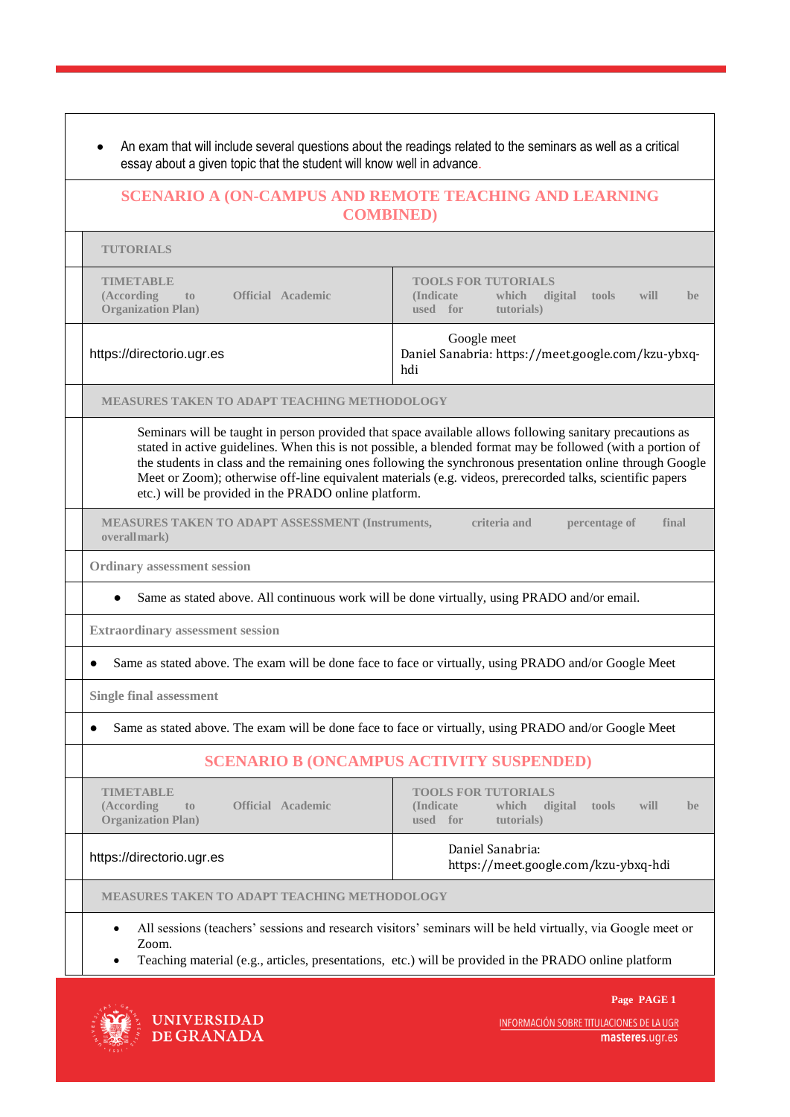|                                                                                                | <b>SCENARIO A (ON-CAMPUS AND REMOTE TEACHING AND LEARNING</b>                                                                                                                                                                                                                                                                                                                                                                                     |
|------------------------------------------------------------------------------------------------|---------------------------------------------------------------------------------------------------------------------------------------------------------------------------------------------------------------------------------------------------------------------------------------------------------------------------------------------------------------------------------------------------------------------------------------------------|
|                                                                                                | <b>COMBINED</b> )                                                                                                                                                                                                                                                                                                                                                                                                                                 |
| <b>TUTORIALS</b>                                                                               |                                                                                                                                                                                                                                                                                                                                                                                                                                                   |
| <b>TIMETABLE</b><br>(According<br><b>Official Academic</b><br>to<br><b>Organization Plan)</b>  | <b>TOOLS FOR TUTORIALS</b><br>(Indicate)<br>which<br>digital<br>will<br>tools<br>be<br>used for<br>tutorials)                                                                                                                                                                                                                                                                                                                                     |
| https://directorio.ugr.es                                                                      | Google meet<br>Daniel Sanabria: https://meet.google.com/kzu-ybxq-<br>hdi                                                                                                                                                                                                                                                                                                                                                                          |
| <b>MEASURES TAKEN TO ADAPT TEACHING METHODOLOGY</b>                                            |                                                                                                                                                                                                                                                                                                                                                                                                                                                   |
| etc.) will be provided in the PRADO online platform.                                           | Seminars will be taught in person provided that space available allows following sanitary precautions as<br>stated in active guidelines. When this is not possible, a blended format may be followed (with a portion of<br>the students in class and the remaining ones following the synchronous presentation online through Google<br>Meet or Zoom); otherwise off-line equivalent materials (e.g. videos, prerecorded talks, scientific papers |
| <b>MEASURES TAKEN TO ADAPT ASSESSMENT (Instruments,</b><br>overallmark)                        | criteria and<br>percentage of<br>final                                                                                                                                                                                                                                                                                                                                                                                                            |
| <b>Ordinary assessment session</b>                                                             |                                                                                                                                                                                                                                                                                                                                                                                                                                                   |
|                                                                                                | Same as stated above. All continuous work will be done virtually, using PRADO and/or email.                                                                                                                                                                                                                                                                                                                                                       |
| <b>Extraordinary assessment session</b>                                                        |                                                                                                                                                                                                                                                                                                                                                                                                                                                   |
|                                                                                                | Same as stated above. The exam will be done face to face or virtually, using PRADO and/or Google Meet                                                                                                                                                                                                                                                                                                                                             |
| <b>Single final assessment</b>                                                                 |                                                                                                                                                                                                                                                                                                                                                                                                                                                   |
|                                                                                                | Same as stated above. The exam will be done face to face or virtually, using PRADO and/or Google Meet                                                                                                                                                                                                                                                                                                                                             |
|                                                                                                | <b>SCENARIO B (ONCAMPUS ACTIVITY SUSPENDED)</b>                                                                                                                                                                                                                                                                                                                                                                                                   |
| <b>TIMETABLE</b><br><b>Official Academic</b><br>(According<br>to<br><b>Organization Plan</b> ) | <b>TOOLS FOR TUTORIALS</b><br><b>Indicate</b><br>which<br>digital<br>tools<br>will<br>be<br>tutorials)<br>used<br>for                                                                                                                                                                                                                                                                                                                             |
|                                                                                                | Daniel Sanabria:                                                                                                                                                                                                                                                                                                                                                                                                                                  |
| https://directorio.ugr.es                                                                      | https://meet.google.com/kzu-ybxq-hdi                                                                                                                                                                                                                                                                                                                                                                                                              |
| MEASURES TAKEN TO ADAPT TEACHING METHODOLOGY                                                   |                                                                                                                                                                                                                                                                                                                                                                                                                                                   |



INFORMACIÓN SOBRE TITULACIONES DE LA UGR<br>**masteres**.ugr.es